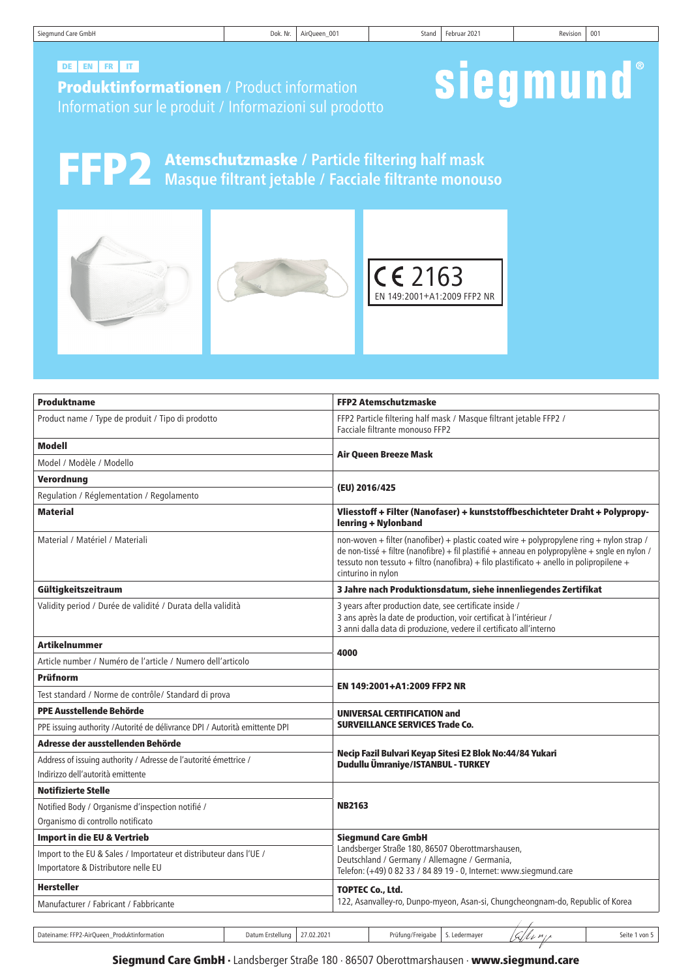| Siegmund Care GmbH | $\cdots$<br>DOK. Nr. | AirQueen_001 | stand | ---<br>Februar 2021 | Revision | - 00 |
|--------------------|----------------------|--------------|-------|---------------------|----------|------|
|                    |                      |              |       |                     |          |      |

# DE EN FR IT

Produktinformationen / Product information Information sur le produit / Informazioni sul prodotto

# siegmund®

FFP2 Atemschutzmaske **/ Particle filtering half mask Masque filtrant jetable / Facciale filtrante monouso**



| Produktname                                                                                               |                                | <b>FFP2 Atemschutzmaske</b>                                                                                                                                                                                                                                                                                   |  |  |  |
|-----------------------------------------------------------------------------------------------------------|--------------------------------|---------------------------------------------------------------------------------------------------------------------------------------------------------------------------------------------------------------------------------------------------------------------------------------------------------------|--|--|--|
| Product name / Type de produit / Tipo di prodotto                                                         |                                | FFP2 Particle filtering half mask / Masque filtrant jetable FFP2 /<br>Facciale filtrante monouso FFP2                                                                                                                                                                                                         |  |  |  |
| <b>Modell</b>                                                                                             |                                |                                                                                                                                                                                                                                                                                                               |  |  |  |
| Model / Modèle / Modello                                                                                  |                                | <b>Air Queen Breeze Mask</b>                                                                                                                                                                                                                                                                                  |  |  |  |
| Verordnung                                                                                                |                                |                                                                                                                                                                                                                                                                                                               |  |  |  |
| Regulation / Réglementation / Regolamento                                                                 |                                | (EU) 2016/425                                                                                                                                                                                                                                                                                                 |  |  |  |
| <b>Material</b>                                                                                           |                                | Vliesstoff + Filter (Nanofaser) + kunststoffbeschichteter Draht + Polypropy-<br>lenring + Nylonband                                                                                                                                                                                                           |  |  |  |
| Material / Matériel / Materiali                                                                           |                                | non-woven + filter (nanofiber) + plastic coated wire + polypropylene ring + nylon strap /<br>de non-tissé + filtre (nanofibre) + fil plastifié + anneau en polypropylène + sngle en nylon /<br>tessuto non tessuto + filtro (nanofibra) + filo plastificato + anello in polipropilene +<br>cinturino in nylon |  |  |  |
| Gültigkeitszeitraum                                                                                       |                                | 3 Jahre nach Produktionsdatum, siehe innenliegendes Zertifikat                                                                                                                                                                                                                                                |  |  |  |
| Validity period / Durée de validité / Durata della validità                                               |                                | 3 years after production date, see certificate inside /<br>3 ans après la date de production, voir certificat à l'intérieur /<br>3 anni dalla data di produzione, vedere il certificato all'interno                                                                                                           |  |  |  |
| <b>Artikelnummer</b>                                                                                      |                                |                                                                                                                                                                                                                                                                                                               |  |  |  |
| Article number / Numéro de l'article / Numero dell'articolo                                               |                                | 4000                                                                                                                                                                                                                                                                                                          |  |  |  |
| Prüfnorm                                                                                                  |                                |                                                                                                                                                                                                                                                                                                               |  |  |  |
| Test standard / Norme de contrôle/ Standard di prova                                                      |                                | EN 149:2001+A1:2009 FFP2 NR                                                                                                                                                                                                                                                                                   |  |  |  |
| PPE Ausstellende Behörde                                                                                  |                                | <b>UNIVERSAL CERTIFICATION and</b><br><b>SURVEILLANCE SERVICES Trade Co.</b>                                                                                                                                                                                                                                  |  |  |  |
| PPE issuing authority / Autorité de délivrance DPI / Autorità emittente DPI                               |                                |                                                                                                                                                                                                                                                                                                               |  |  |  |
| Adresse der ausstellenden Behörde                                                                         |                                |                                                                                                                                                                                                                                                                                                               |  |  |  |
| Address of issuing authority / Adresse de l'autorité émettrice /<br>Indirizzo dell'autorità emittente     |                                | Necip Fazil Bulvari Keyap Sitesi E2 Blok No:44/84 Yukari<br>Dudullu Ümraniye/ISTANBUL - TURKEY                                                                                                                                                                                                                |  |  |  |
| <b>Notifizierte Stelle</b>                                                                                |                                |                                                                                                                                                                                                                                                                                                               |  |  |  |
| Notified Body / Organisme d'inspection notifié /<br>Organismo di controllo notificato                     |                                | <b>NB2163</b>                                                                                                                                                                                                                                                                                                 |  |  |  |
| <b>Import in die EU &amp; Vertrieb</b>                                                                    |                                | <b>Siegmund Care GmbH</b>                                                                                                                                                                                                                                                                                     |  |  |  |
| Import to the EU & Sales / Importateur et distributeur dans l'UE /<br>Importatore & Distributore nelle EU |                                | Landsberger Straße 180, 86507 Oberottmarshausen,<br>Deutschland / Germany / Allemagne / Germania,<br>Telefon: (+49) 0 82 33 / 84 89 19 - 0, Internet: www.siegmund.care                                                                                                                                       |  |  |  |
| <b>Hersteller</b>                                                                                         |                                | <b>TOPTEC Co., Ltd.</b>                                                                                                                                                                                                                                                                                       |  |  |  |
| Manufacturer / Fabricant / Fabbricante                                                                    |                                | 122, Asanvalley-ro, Dunpo-myeon, Asan-si, Chungcheongnam-do, Republic of Korea                                                                                                                                                                                                                                |  |  |  |
|                                                                                                           |                                |                                                                                                                                                                                                                                                                                                               |  |  |  |
| Dateiname: FFP2-AirQueen_Produktinformation                                                               | 27.02.2021<br>Datum Erstellung | 'C 1<br>lenie<br>S. Ledermayer<br>Seite 1 von 5<br>Prüfung/Freigabe                                                                                                                                                                                                                                           |  |  |  |

# Siegmund Care GmbH · Landsberger Straße 180 · 86507 Oberottmarshausen · www.siegmund.care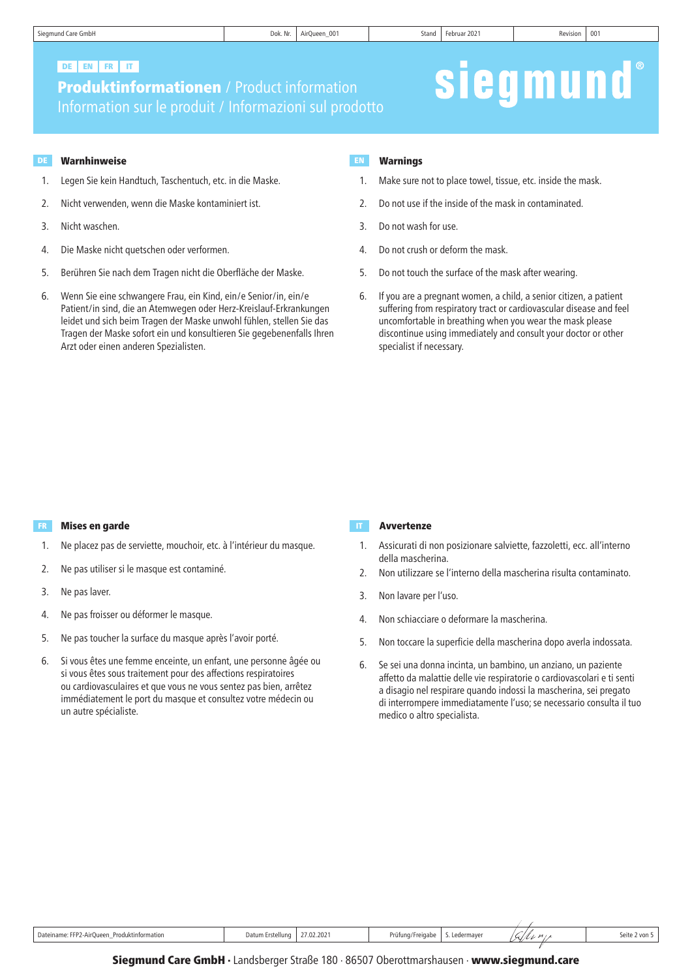# DE EN FR IT

**Produktinformationen** / Product information Information sur le produit / Informazioni sul prodotto

## DE Warnhinweise deutsche Berger in der Entwicklung der Entwicklung und der Entwicklung der Entwicklung der Entwicklung der Entwicklung der Entwicklung der Entwicklung der Entwicklung der Entwicklung der Entwicklung der Ent

- 1. Legen Sie kein Handtuch, Taschentuch, etc. in die Maske.
- 2. Nicht verwenden, wenn die Maske kontaminiert ist.
- 3. Nicht waschen.
- 4. Die Maske nicht quetschen oder verformen.
- 5. Berühren Sie nach dem Tragen nicht die Oberfläche der Maske.
- 6. Wenn Sie eine schwangere Frau, ein Kind, ein/e Senior/in, ein/e Patient/in sind, die an Atemwegen oder Herz-Kreislauf-Erkrankungen leidet und sich beim Tragen der Maske unwohl fühlen, stellen Sie das Tragen der Maske sofort ein und konsultieren Sie gegebenenfalls Ihren Arzt oder einen anderen Spezialisten.

## Warnings

1. Make sure not to place towel, tissue, etc. inside the mask.

siegmund

- 2. Do not use if the inside of the mask in contaminated.
- 3. Do not wash for use.
- 4. Do not crush or deform the mask.
- 5. Do not touch the surface of the mask after wearing.
- 6. If you are a pregnant women, a child, a senior citizen, a patient suffering from respiratory tract or cardiovascular disease and feel uncomfortable in breathing when you wear the mask please discontinue using immediately and consult your doctor or other specialist if necessary.

# FR Mises en garde Avvertenze en de la provincia de la provincia de la provincia de la provincia de la provinci

- 1. Ne placez pas de serviette, mouchoir, etc. à l'intérieur du masque.
- 2. Ne pas utiliser si le masque est contaminé.
- 3. Ne pas laver.
- 4. Ne pas froisser ou déformer le masque.
- 5. Ne pas toucher la surface du masque après l'avoir porté.
- 6. Si vous êtes une femme enceinte, un enfant, une personne âgée ou si vous êtes sous traitement pour des affections respiratoires ou cardiovasculaires et que vous ne vous sentez pas bien, arrêtez immédiatement le port du masque et consultez votre médecin ou un autre spécialiste.

- 1. Assicurati di non posizionare salviette, fazzoletti, ecc. all'interno della mascherina.
- 2. Non utilizzare se l'interno della mascherina risulta contaminato.
- 3. Non lavare per l'uso.
- 4. Non schiacciare o deformare la mascherina.
- 5. Non toccare la superficie della mascherina dopo averla indossata.
- 6. Se sei una donna incinta, un bambino, un anziano, un paziente affetto da malattie delle vie respiratorie o cardiovascolari e ti senti a disagio nel respirare quando indossi la mascherina, sei pregato di interrompere immediatamente l'uso; se necessario consulta il tuo medico o altro specialista.

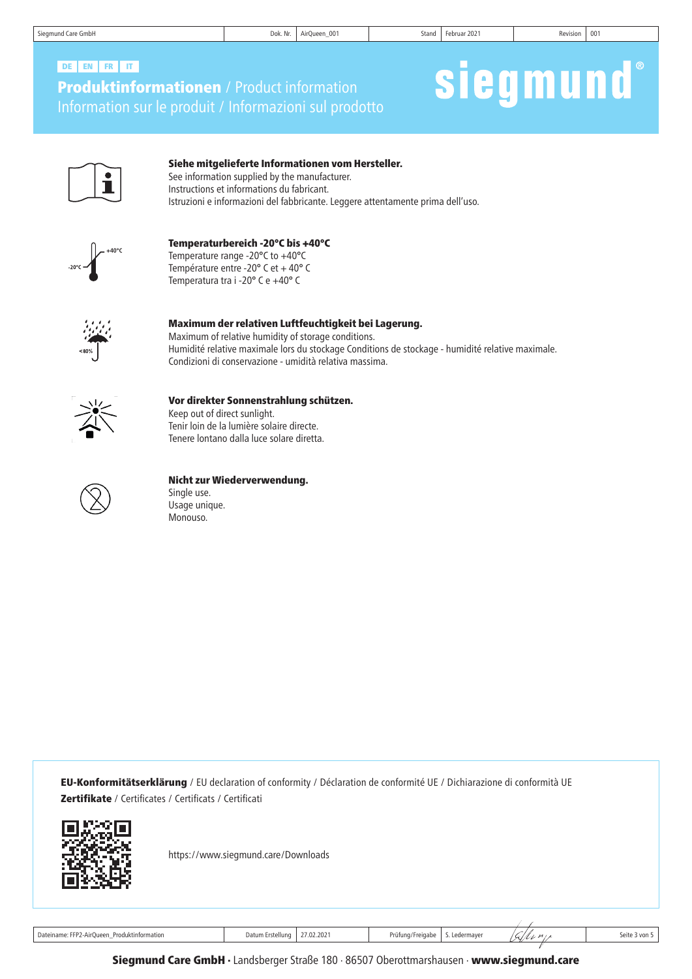| Siegmund Care GmbH |  |  |  |
|--------------------|--|--|--|
|--------------------|--|--|--|

# Produktinformationen / Product information Information sur le produit / Informazioni sul prodotto DE EN FR IT

# siegmund®



# Siehe mitgelieferte Informationen vom Hersteller.

See information supplied by the manufacturer. Instructions et informations du fabricant. Istruzioni e informazioni del fabbricante. Leggere attentamente prima dell'uso.



# Temperaturbereich -20°C bis +40°C

Temperature range -20°C to +40°C Température entre -20° C et + 40° C Temperatura tra i -20° C e +40° C



### Maximum der relativen Luftfeuchtigkeit bei Lagerung. Maximum of relative humidity of storage conditions.

Humidité relative maximale lors du stockage Conditions de stockage - humidité relative maximale. Condizioni di conservazione - umidità relativa massima.



# Vor direkter Sonnenstrahlung schützen.

Keep out of direct sunlight. Tenir loin de la lumière solaire directe. Tenere lontano dalla luce solare diretta.



# Nicht zur Wiederverwendung.

Single use. Usage unique. Monouso.

EU-Konformitätserklärung / EU declaration of conformity / Déclaration de conformité UE / Dichiarazione di conformità UE Zertifikate / Certificates / Certificats / Certificati



https://www.siegmund.care/Downloads

Dateiname: FFP2-AirQueen\_Produktinformation **Datum Erstellung 27.02.2021** Prüfung/Freigabe S. Ledermayer  $\frac{1}{\sqrt{2}/\ell_{L}}$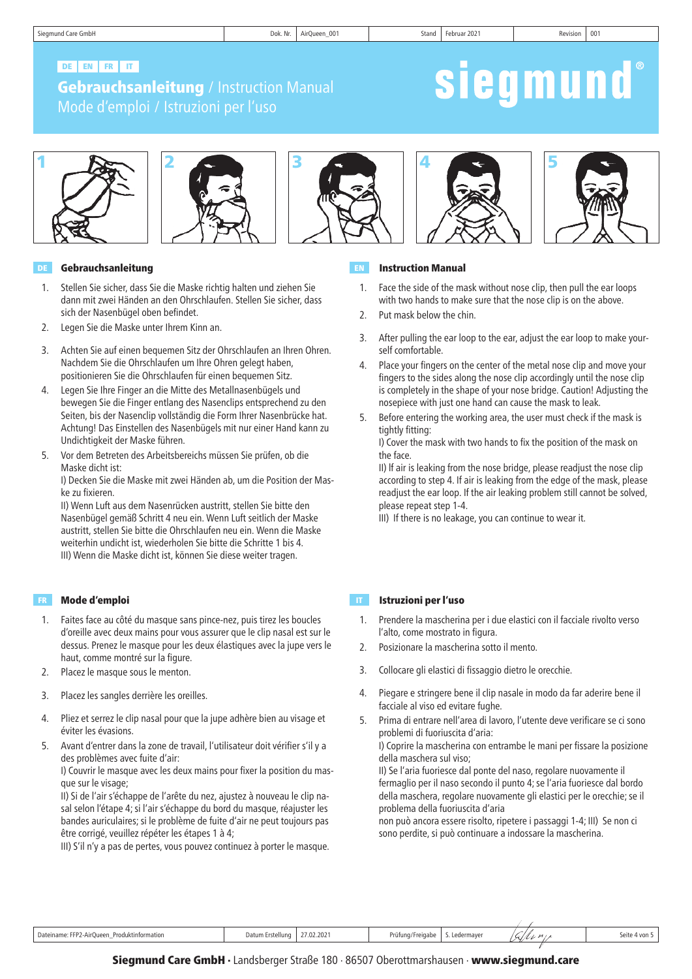siegmund

# DE EN FR IT

# **Gebrauchsanleitung / Instruction Manual** Mode d'emploi / Istruzioni per l'uso





### DE Gebrauchsanleitung EN

- 1. Stellen Sie sicher, dass Sie die Maske richtig halten und ziehen Sie dann mit zwei Händen an den Ohrschlaufen. Stellen Sie sicher, dass sich der Nasenbügel oben befindet.
- 2. Legen Sie die Maske unter Ihrem Kinn an.
- 3. Achten Sie auf einen bequemen Sitz der Ohrschlaufen an Ihren Ohren. Nachdem Sie die Ohrschlaufen um Ihre Ohren gelegt haben, positionieren Sie die Ohrschlaufen für einen bequemen Sitz.
- 4. Legen Sie Ihre Finger an die Mitte des Metallnasenbügels und bewegen Sie die Finger entlang des Nasenclips entsprechend zu den Seiten, bis der Nasenclip vollständig die Form Ihrer Nasenbrücke hat. Achtung! Das Einstellen des Nasenbügels mit nur einer Hand kann zu Undichtigkeit der Maske führen.
- 5. Vor dem Betreten des Arbeitsbereichs müssen Sie prüfen, ob die Maske dicht ist:

I) Decken Sie die Maske mit zwei Händen ab, um die Position der Maske zu fixieren.

II) Wenn Luft aus dem Nasenrücken austritt, stellen Sie bitte den Nasenbügel gemäß Schritt 4 neu ein. Wenn Luft seitlich der Maske austritt, stellen Sie bitte die Ohrschlaufen neu ein. Wenn die Maske weiterhin undicht ist, wiederholen Sie bitte die Schritte 1 bis 4. III) Wenn die Maske dicht ist, können Sie diese weiter tragen.

#### **Mode d'emploi** de la component de la component de la component de la component de la component de la component d

- 1. Faites face au côté du masque sans pince-nez, puis tirez les boucles d'oreille avec deux mains pour vous assurer que le clip nasal est sur le dessus. Prenez le masque pour les deux élastiques avec la jupe vers le haut, comme montré sur la figure.
- 2. Placez le masque sous le menton.
- 3. Placez les sangles derrière les oreilles.
- 4. Pliez et serrez le clip nasal pour que la jupe adhère bien au visage et éviter les évasions.
- 5. Avant d'entrer dans la zone de travail, l'utilisateur doit vérifier s'il y a des problèmes avec fuite d'air:

I) Couvrir le masque avec les deux mains pour fixer la position du masque sur le visage;

II) Si de l'air s'échappe de l'arête du nez, ajustez à nouveau le clip nasal selon l'étape 4; si l'air s'échappe du bord du masque, réajuster les bandes auriculaires; si le problème de fuite d'air ne peut toujours pas être corrigé, veuillez répéter les étapes 1 à 4;

III) S'il n'y a pas de pertes, vous pouvez continuez à porter le masque.







#### Instruction Manual

- 1. Face the side of the mask without nose clip, then pull the ear loops with two hands to make sure that the nose clip is on the above.
- 2. Put mask below the chin.
- 3. After pulling the ear loop to the ear, adjust the ear loop to make yourself comfortable.
- 4. Place your fingers on the center of the metal nose clip and move your fingers to the sides along the nose clip accordingly until the nose clip is completely in the shape of your nose bridge. Caution! Adjusting the nosepiece with just one hand can cause the mask to leak.
- 5. Before entering the working area, the user must check if the mask is tightly fitting:

I) Cover the mask with two hands to fix the position of the mask on the face.

II) lf air is leaking from the nose bridge, please readjust the nose clip according to step 4. If air is leaking from the edge of the mask, please readjust the ear loop. If the air leaking problem still cannot be solved, please repeat step 1-4.

III) If there is no leakage, you can continue to wear it.

#### Istruzioni per l'uso

- 1. Prendere la mascherina per i due elastici con il facciale rivolto verso l'alto, come mostrato in figura.
- 2. Posizionare la mascherina sotto il mento.
- 3. Collocare gli elastici di fissaggio dietro le orecchie.
- 4. Piegare e stringere bene il clip nasale in modo da far aderire bene il facciale al viso ed evitare fughe.
- 5. Prima di entrare nell'area di lavoro, l'utente deve verificare se ci sono problemi di fuoriuscita d'aria: I) Coprire la mascherina con entrambe le mani per fissare la posizione della maschera sul viso; II) Se l'aria fuoriesce dal ponte del naso, regolare nuovamente il fermaglio per il naso secondo il punto 4; se l'aria fuoriesce dal bordo della maschera, regolare nuovamente gli elastici per le orecchie; se il problema della fuoriuscita d'aria non può ancora essere risolto, ripetere i passaggi 1-4; III) Se non ci sono perdite, si può continuare a indossare la mascherina.